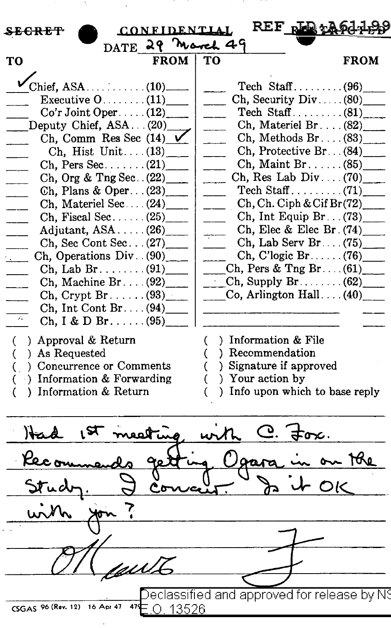| <b>CONFIDENTIAI</b><br><del>secret</del>  | $REF$ pm $\frac{1}{2}$                      |             |
|-------------------------------------------|---------------------------------------------|-------------|
| DATE 29 March 49                          |                                             |             |
| <b>FROM</b><br>TO                         | TО                                          | <b>FROM</b> |
|                                           |                                             |             |
|                                           | Ch, Security Div. $(80)$                    |             |
| $Co'r$ Joint Oper(12)                     | Tech Staff $(81)$                           |             |
| Deputy Chief, ASA(20)                     | Ch, Materiel Br. $\ldots$ (82)              |             |
| Ch, Comm Res Sec (14)                     | Ch, Methods $Br. \ldots (83)$               |             |
| Ch, Hist Unit $(13)$                      | Ch, Protective Br. $(84)$                   |             |
| Ch, Pers Sec. $\dots$ (21)                | Ch, Maint Br. $\ldots$ (85)                 |             |
| Ch, Org & Tng Sec. $(22)$                 | Ch, Res Lab Div $(70)$                      |             |
| Ch, Plans & Oper $(23)$                   |                                             |             |
| Ch, Materiel Sec (24)                     | Ch, Ch. Ciph & Cif Br(72)                   |             |
| Ch, Fiscal Sec. $\ldots$ (25)             | Ch, Int Equip Br $(73)$                     |             |
| Adjutant, $ASA$ $(26)$                    | Ch, Elec & Elec Br. $(74)$                  |             |
| Ch, Sec Cont Sec $(27)$                   | Ch, Lab Serv Br. $(75)$                     |             |
| Ch, Operations $Div. (90)$                | $Ch, C'logic Br. \ldots (76)$               |             |
| Ch, Lab Br $\ldots$ (91)                  | Ch, Pers & Tng Br $(61)$                    |             |
| Ch, Machine Br $(92)$                     | $[Ch, Supply Br. \ldots. (62)]$             |             |
| $\chi$ Ch, Crypt Br (93)                  | Co, Arlington Hall $(40)$                   |             |
| Ch, Int Cont Br. $(94)$                   |                                             |             |
| $\mathcal{N}_\bullet$<br>Ch, I & D Br(95) |                                             |             |
|                                           |                                             |             |
| ) Approval & Return<br>€.                 | ) Information & File<br>(                   |             |
| ) As Requested<br>€                       | ) Recommendation                            |             |
| : Concurrence or Comments<br>€.           | ) Signature if approved<br>C                |             |
| ) Information & Forwarding                | ) Your action by                            |             |
| ) Information & Return                    | ) Info upon which to base reply             |             |
|                                           |                                             |             |
| eat ing                                   | سا                                          |             |
| 70 م                                      | aai                                         |             |
|                                           |                                             |             |
|                                           |                                             |             |
|                                           |                                             |             |
| <u>UW</u>                                 |                                             |             |
|                                           | Declassified and approved for release by N9 |             |
| CSGAS 96 (Rev. 12)<br>16 Apr 47<br>Ω      | 13526                                       |             |
|                                           |                                             |             |

ĵ,

l,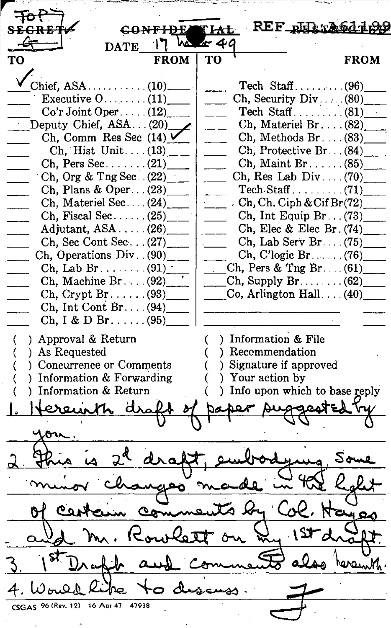REF\_php.r.A f l<del>al</del>  $4c$ **DATE** TO **FROM** TO TO TROM  $Chief, ASA$  .............. (10). Tech  $Staff$  ........ (96) Ch, Security Div ...  $(80)$ Executive  $0 \ldots \ldots (11)$ Tech Staff  $\ldots$  (81)  $Co'r$  Joint Oper  $\dots$ . (12) Deputy Chief,  $ASA \dots (20)$ Ch, Materiel Br....  $(82)$  $Ch, Methods Br.$ ... (83) Ch, Comm Res Sec.  $(14)$   $\vee$ Ch, Hist Unit ....  $(13)$ Ch, Protective Br.  $(84)$  $Ch$ , Maint Br ...... (85)  $Ch$ , Pers Sec....... (21) Ch, Org  $&$  Tng Sec. . (22)  $Ch$ , Res Lab Div .... (70)  $\text{Techn} \cdot \text{Staff} \dots \dots \dots (71)$ Ch, Plans & Oper ...  $(23)$ Ch, Materiel Sec .... (24)\_  $Ch, Ch. Ciph & Cif Br(72)$ Ch, Fiscal Sec......  $(25)$ Ch, Int Equip  $Br... (73)$ Adjutant,  $ASA$ ..... (26) Ch, Elec & Elec Br.  $(74)$ \_ Ch, Sec Cont Sec ... (27)\_  $Ch, Lab$  Serv Br  $\ldots$  (75) Ch, Operations Div.  $(90)$  $Ch, C'logic Br. \ldots (76)$ Ch, Lab Br... $(91)$  $Ch$ , Pers & Tng Br.... (61) Ch, Machine Br....  $(92)$  $Ch$ , Supply  $Br \ldots \ldots$  (62) Ch, Crypt Br......  $(93)$ Co, Arlington Hall  $\dots$  (40) Ch, Int Cont  $Br... (94)$ Ch, I & D Br......  $(95)$ () Approval & Return () Information & File<br>
() As Requested () Recommendation<br>
() Concurrence or Comments () Signature if approved<br>
() Information & Forwarding () Your action by<br>
() Information & Return () Info upon which ( ) Approval & Return  $($  ) Information & File (a) As Requested (b) Recommendation ( ) Concurrence or Comments ( ) Signature if approved ( ) Information & Forwarding ( ) Your action by ( ) Information & Return ( ) Info upon which to base reply you. V B1 ' V B O<br>2 Fhua is 2<sup>d</sup> draft, embodying Some<br>minor changes made in the halt minor changes made in the holit of certain comments by Col. Hayes<br>and M. Rowlett on my 1st draft. 1. Vould like to discuss.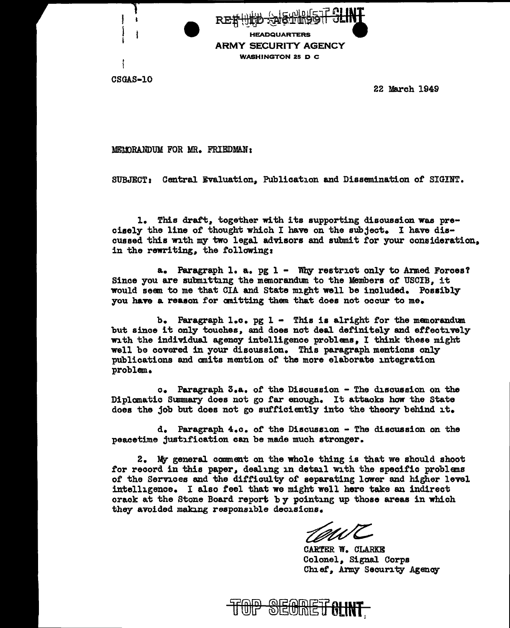**Edgunde HEADQUARTERS ARMY SECURITY AGENCY WASHINGTON 25 D C** 

CSGAS-10

22 March 1949

MELORANDUM FOR MR. FRIEDMAN:

SUBJECT: Central Evaluation, Publication and Dissemination of SIGINT.

1. This draft, together with its supporting discussion was precisely the line of thought which I have on the subject. I have discussed this with my two legal advisors and submit for your consideration. in the rewriting, the following:

a. Paragraph 1. a. pg 1 - Why restrict only to Armed Forces? Since you are submitting the memorandum to the Members of USCIB. it would seem to me that CIA and State might well be included. Possibly you have a reason for omitting them that does not occur to me.

b. Paragraph  $l_{\bullet}c_{\bullet}$  pg  $l_{\bullet}$  This is alright for the memorandum but since it only touches, and does not deal definitely and effectively with the individual agency intelligence problems, I think these might well be covered in your discussion. This paragraph mentions only publications and omits mention of the more elaborate integration problem.

c. Paragraph 3.a. of the Discussion - The discussion on the Diplomatic Summary does not go far enough. It attacks how the State does the job but does not go sufficiently into the theory behind it.

d. Paragraph 4.c. of the Discussion - The discussion on the peacetime justification can be made much stronger.

2. My general comment on the whole thing is that we should shoot for record in this paper, dealing in detail with the specific problems of the Services and the difficulty of separating lower and higher level intelligence. I also feel that we might well here take an indirect crack at the Stone Board report by pointing up those areas in which they avoided making responsible decisions.

CARTER W. CLARKE Colonel, Signal Corps Chief, Army Security Agency

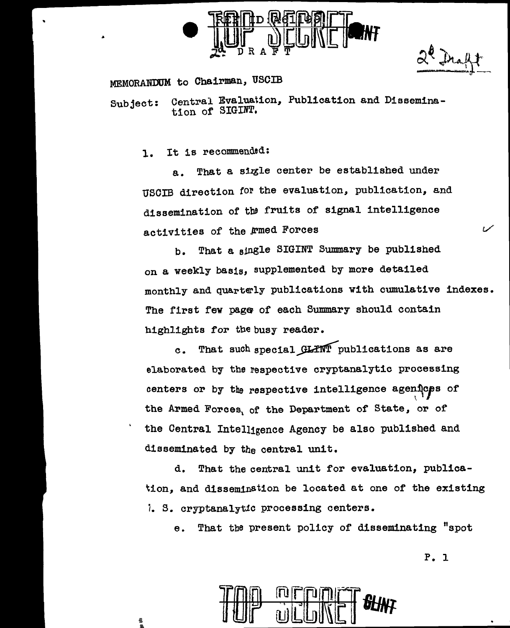

 $2^{\ell}$  Draff

## MEMORANDUM to Chairman, USCIB

Subject: Central Evaluation, Publication and Dissemination of' SIGINT.

1. It is recommended:

a. That a sigle center be established under USCIB direction for the evaluation, publication, and dissemination of the fruits of signal intelligence activities of the *Frmed Forces* 

b. That a single SIGINT Summary be published on a weekly basis, supplemented by more detailed monthly and quarterly publications with cumulative indexes. The first few page of each Summary should contain highlights for the busy reader.

c. That such special GLINT publications as are elaborated by the respective cryptanalytic processing centers or by the respective intelligence agenices of the Armed Forces, of the Department of State, or of the Central Intelligence Agency be also published and disseminated by the central unit.

d. That the central unit for evaluation, publication, and dissemination be located at one of the existing *i.* s. cryptanalytic processing centers.

e. That the present policy of disseminating "spot

P. l

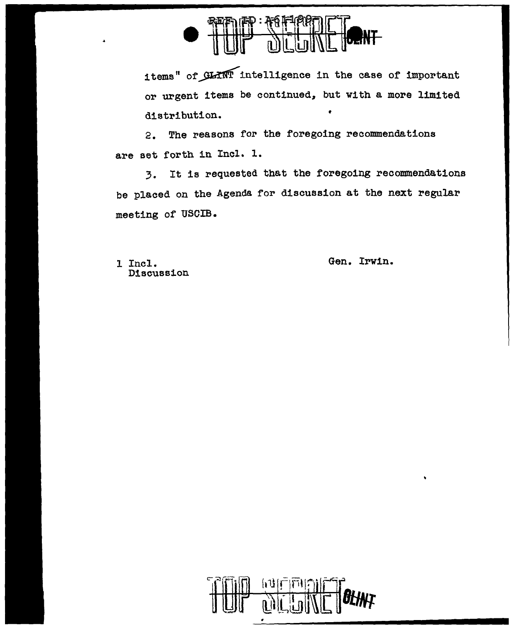

items" of GLINT intelligence in the case of important or urgent items be continued, but with a more limited distribution. •

2. The reasons for the foregoing recommendations are set forth in Incl. 1.

3. It is requested that the foregoing recommendations be placed on the Agenda for discussion at the next regular meeting of USOIB.

Discussion

<sup>l</sup>Incl. Gen. Irwin.

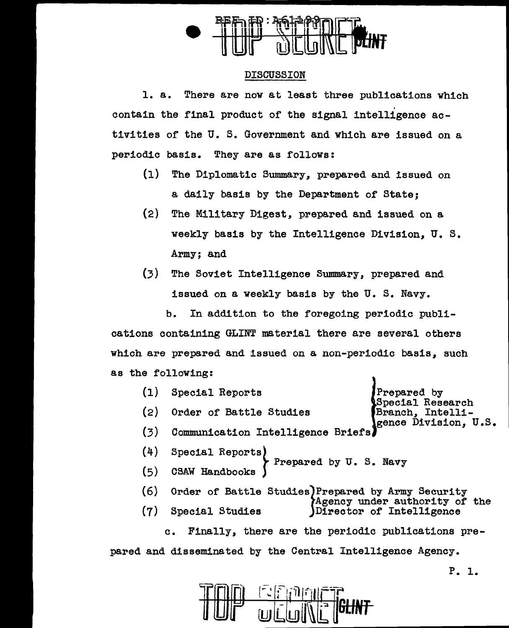

## DISCUSSION

1. a. There are now at least three publications which contain the final product of the signal intelligence activities of the U. S. Government and which are issued on a periodic basis. They are as follows:

- (1) The Diplomatic Summary, prepared and issued on a daily basis by the Department of State;
- (2) The Military Digest, prepared and issued on a weekly basis by the Intelligence Division, U. s. Army; and
- (3) The Soviet Intelligence Summary, prepared and issued on a weekly basis by the U. s. Navy.

b. In addition to the foregoing periodic publications containing GLINT material there are several others which are prepared and issued on a non-periodic basis, such as the following:

(1) (2) (3) (4) (5) (6) (7) Special Reports **Prepared by** Special Research<br>Branch. Intelli-Order of Battle Studies gence Division, U.S. Communication Intelligence Briefs Special Reports)<br>CSAW Handbooks<br>CSAW Handbooks Order of Battle Studies Prepared by Army Security<br>Agency under authority of the<br>Director of Intelligence Director of Intelligence c. Finally, there are the periodic publications pre-

pared and disseminated by the Central Intelligence Agency.



p. 1.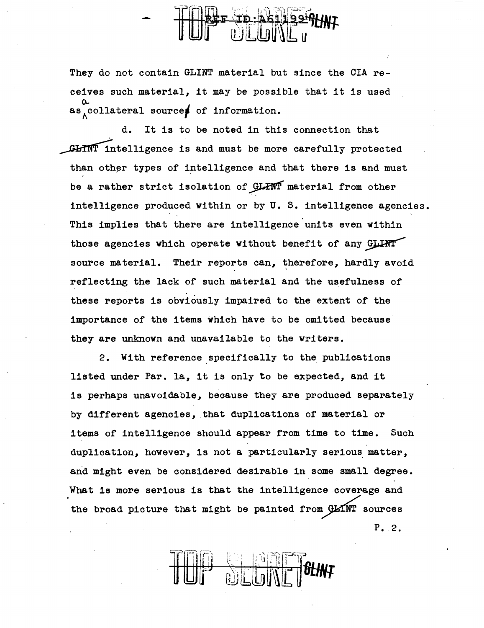They do not contain GLINT material but since the CIA receives such material, it may be possible that it is used  $\alpha$ <br>as collateral sources of information.

d. It is to be noted in this connection that GHINT intelligence is and must be more carefully protected than other types of intelligence and that there is and must be a rather strict isolation of GLINT material from other intelligence produced within or by U. s. intelligence agencies. This implies that there are intelligence units even within those agencies which operate without benefit of any GLLHT source material. Their reports can, therefore, hardly avoid reflecting the lack of such material and the usefulness of these reports is obviously impaired to the extent of the importance of the items which have to be omitted because they are unknown and unavailable to the writers.

2. With reference specifically to the publications listed under Par. la, it is only to be expected, and it is perhaps unavoidable, because they are produced separately by different agencies, that duplications of material or items of intelligence should appear from time to time. Such duplication, however, is not a particularly serious matter, and might even be considered desirable in some small degree. What is more serious is that the intelligence coverage and the broad picture that might be painted from GLINT sources P. 2.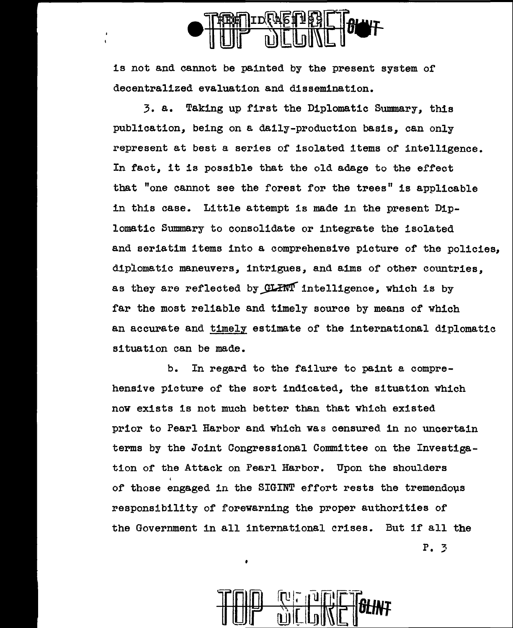

is not and cannot be painted by the present system of decentralized evaluation and dissemination.

3. a. Taking up first the Diplomatic Summary, this publication, being on a daily-production basis, can only represent at best a series of isolated items of intelligence. In fact, it is possible that the old adage to the effect that "one cannot see the forest for the trees" is applicable in this case. Little attempt is made in the present Diplomatic Summary to consolidate or integrate the isolated and seriatim items into a comprehensive picture of the policies, diplomatic maneuvers, intrigues, and aims of other countries. as they are reflected by GLHW intelligence, which is by far the most reliable and timely source by means of which an accurate and timely estimate of the international diplomatic situation can be made.

b. In regard to the failure to paint a comprehensive picture of the sort indicated, the situation which now exists is not much better than that which existed prior to Pearl Harbor and which was censured in no uncertain terms by the Joint Congressional Committee on the Investigation of the Attack on Pearl Harbor. Upon the shoulders of those engaged in the SIGINT effort rests the tremendous responsibility of forewarning the proper authorities or the Government in all international crises. But if all the P. 3



•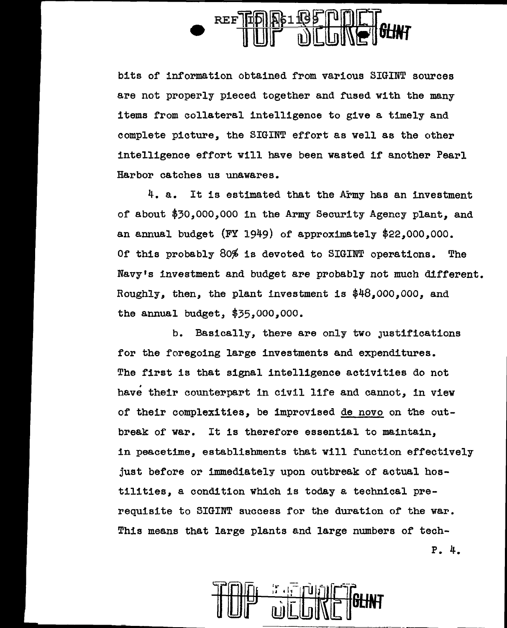

bits of information obtained from various SIGINT sources are not properly pieced together and fused with the many items from collateral intelligence to give a timely and complete picture, the SIGINT effort as well as the other intelligence effort will have been wasted if another Pearl Harbor catches us unawares.

4. a. It is estimated that the Army has an investment of about \$30,000,000 in the Army Security Agency plant, and an annual budget (FY 1949) of approximately \$22,000,000. Of this probably 80% is devoted to SIGINT operations. The Navy's investment and budget are probably not much different. Roughly, then, the plant investment is \$48,ooo,ooo, and the annual budget, \$35,000,000.

b. Basically, there are only two Justifications for the foregoing large investments and expenditures. The first is that signal intelligence activities do not have their counterpart in civil life and cannot, in view of their complexities, be improvised de novo on the outbreak of war. It is therefore essential to maintain, in peacetime, establishments that will function effectively just before or immediately upon outbreak or actual hostilities, a condition which is today a technical prerequisite to SIGINT success for the duration of the war. This means that large plants and large numbers of tech-P. 4.

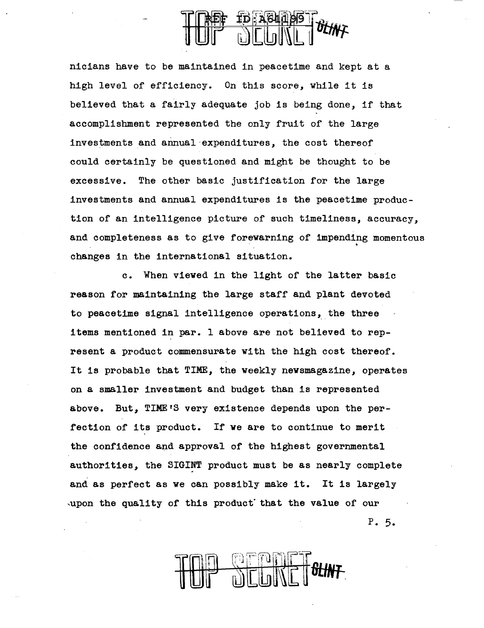

nicians have to be maintained in peacetime and kept at a high level of efficiency. On this score, while it is believed that a fairly adequate job is being done, if that accomplishment represented the only fruit of the large investments and annual·expenditures, the cost thereof could certainly be questioned and might be thought to be excessive. The other basic justification for the large investments and annual expenditures is the peacetime production of an intelligence picture of such timeliness, accuracy, and completeness as to give forewarning of impending momentous changes in the international situation.

c. When viewed in the light of the latter basic reason for maintaining the large staff and plant devoted to peacetime signal intelligence operations, the three items mentioned in par. 1 above are not believed to represent a product commensurate with the high cost thereof. It is probable that TIME, the weekly newsmagazine, operates on a smaller investment and budget than is represented above. But, TIME'S very existence depends upon the perfection of its product. If we are to continue to merit the confidence and approval of the highest governmental authorities, the SIGINT product must be as nearly complete and as perfect as we can possibly make it. It is largely  $\omega$ , upon the quality of this product that the value of our p. 5.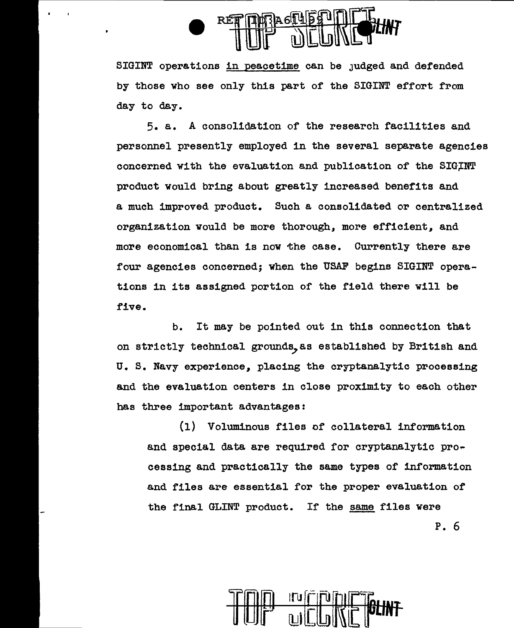

SIGINT operations in peacetime can be Judged and defended by those who see only this part of the SIGINT effort from day to day.

5. a. A consolidation of the research facilities and personnel presently employed in the several separate agencies concerned with the evaluation and publication of the SIGINT product would bring about greatly increased benefits and a much improved product. Such a consolidated or centralized organization would be more thorough, more efficient, and more economical than is now the case. Currently there are four agencies concerned; when the USAF begins SIGINT operations in its assigned portion of the field there will be five.

b. It may be pointed out in this connection that on strictly technical grounds, as established by British and U. S. Navy experience, placing the cryptanalytic processing and the evaluation centers in close proximity to each other has three important advantages:

(1) Voluminous files of collateral information and special data are required for cryptanalytic pro~ ceasing and practically the same types of information and files are essential for the proper evaluation of the final GLINT product. If the same files were P. 6

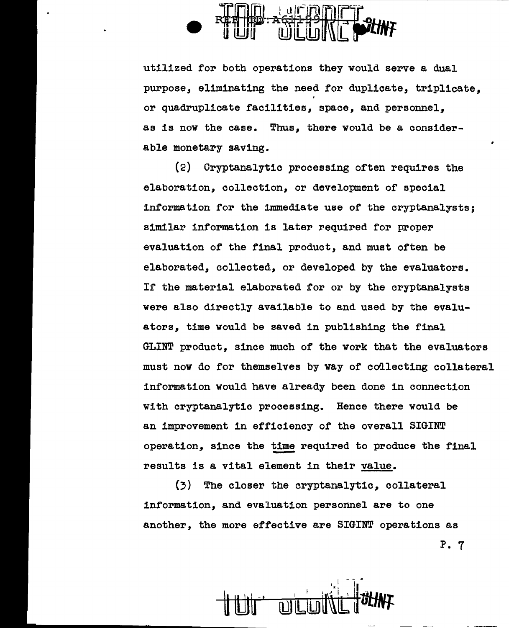

utilized for both operations they would serve a dual purpose, eliminating the need for duplicate, triplicate, I or quadruplicate facilities, space, and personnel, as is now the case. Thus, there would be a considerable monetary saving.

(2) Cryptanalytic processing often requires the elaboration, collection, or development of special information for the immediate use of the cryptanalysts; similar information is later required for proper evaluation of the final product, and must often be elaborated, collected, or developed by the evaluators. If the material elaborated for or by the cryptanalysts were also directly available to and used by the evaluators, time would be saved in publishing the final GLINT product, since much of the work that the evaluators must now do for themselves by way of collecting collateral information would have already been done in connection with cryptanalytic processing. Hence there would be an improvement in efficiency of the overall SIGINT operation, since the time required to produce the final results is a vital element in their value.

{3) The closer the cryptanalytic, collateral information, and evaluation personnel are to one another, the more effective are SIGINT operations as P. 7

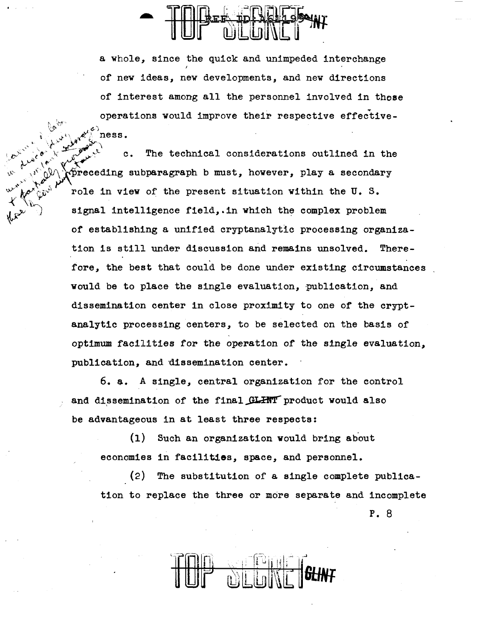~' *r·t'l;-.* 

 $\mathbf{r}^{\mathbf{r}^{\mathbf{r}^{\mathbf{r}^{\mathbf{r}}}}}\mathbf{r}^{\mathbf{r}^{\mathbf{r}^{\mathbf{r}^{\mathbf{r}}}}}\mathbf{r}$ 

y' *'Y*   $\sim$   $\sim$ 

a whole, since the quick and unimpeded interchange I of new ideas, new developments, and new directions of interest among all the personnel involved in these operations would improve their respective effective-1:,..0- *v* .¢-) ness.

 $\mathcal{L} = \mathcal{L} \mathcal{L} = \mathcal{L} \mathcal{L}$ c. The technical considerations outlined in the  $e^{\lambda x}$  )  $e^{\lambda x}$  (  $e^{\lambda x}$  )  $\lambda x$  )  $\lambda x$  $\widetilde{p}$ receding subparagraph b must, however, play a secondary role in view of the present situation within the U. S. signal intelligence field,.in which the complex problem of establishing a unified cryptanalytic processing organization is still under discussion and remains unsolved. Therefore, the best that could be done under existing circumstances would be to place the single evaluation, publication, and dissemination center in close proximity to one of the cryptanalytic processing centers, to be selected on the basis of optimum facilities for the operation of the single evaluation, publication, and dissemination center.

> 6. a. A single, central organization for the control and dissemination of the final GLHNT product would also be advantageous in at least three respects:

(1) Such an organization would bring about economies in facilities, space, and personnel.

(2) The substitution of a single complete publicstion to replace the three or more separate and incomplete p. 8

*---n.=·,.* i .~ -. -l ' i' I! ' !..J '. I' i::: '." I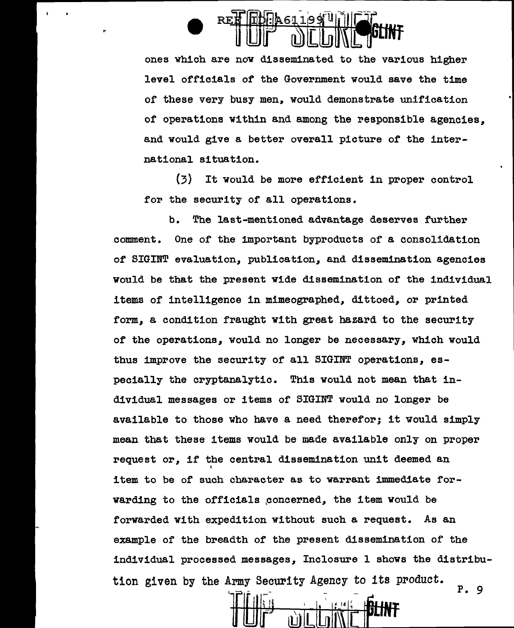

ones which are now disseminated to the various higher level officials of the Government would save the time of these very busy men, would demonstrate unification of operations within and among the responsible agencies. and would give a better overall picture of the international situation.

(3) It would be more efficient in proper control for the security of all operations.

b. The last-mentioned advantage deserves further comment. One of the important byproducts of a consolidation of SIGINT evaluation, publication, and dissemination agencies would be that the present wide dissemination of the individual items of intelligence in mimeographed, dittoed, or printed form, a condition fraught with great hazard to the security of the operations, would no longer be necessary, which would thus improve the security of all SIGINT operations, especially the cryptanalytic. This would not mean that individual messages or items of SIGINT would no longer be available to those who have a need therefor; it would simply mean that these items would be made available only on proper request or, if the central dissemination unit deemed an item to be of suoh character as to warrant immediate forwarding to the officials poncerned, the item would be forwarded with expedition without such a request. As an example of the breadth of the present dissemination of the individual processed messages, Inclosure 1 shows the distribution given by the Army Security Agency to its product. P. 9

-ir~~;I ' <sup>t</sup>~ I' "( ,INf *UJ* lW [Lili~ t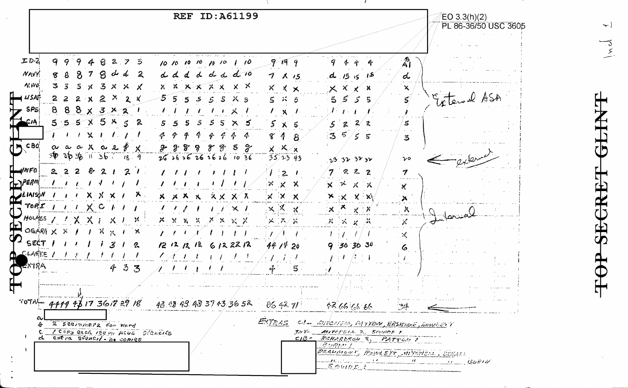

 $\overline{\phantom{a}}$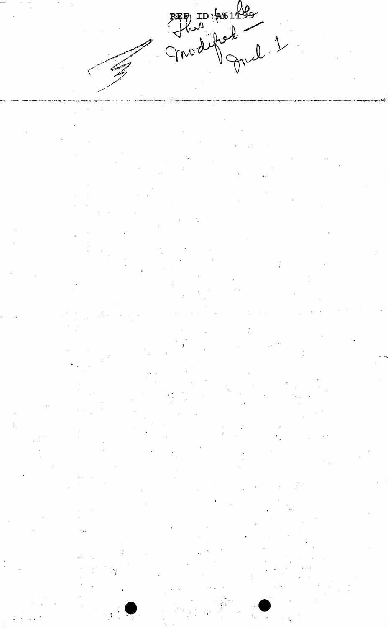RED ID: AG1499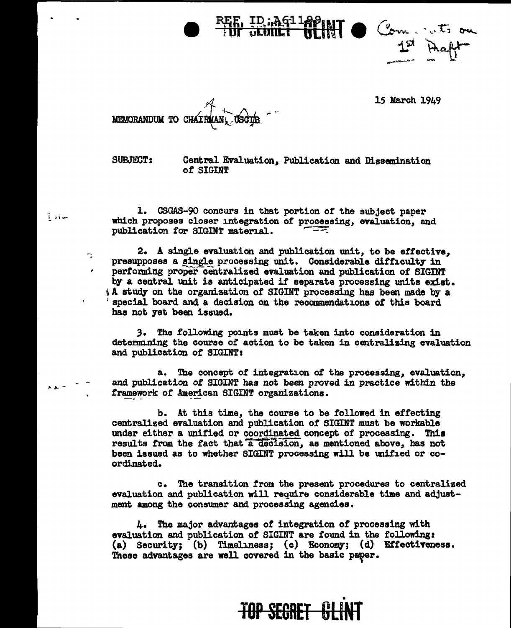

15 March 1949

MEMORANDUM TO CHAI

T He

 $\overline{\phantom{a}}$ 

SUBJECT: Central Evaluation,. Publication and Dissemination *ot* SIGINT

1. CSGAS-90 concurs in that portion of the subject paper which proposes closer integration of processing, evaluation, and publication for SIGINT material.

2. A single evaluation and publication unit, to be effective, presupposes a single processing unit. Considerable difficulty in performing proper centralized evaluation and publication of SIGINT by a central unit is anticipated it separate processing units exiat.  $\Lambda$  study on the organization of SIGINT processing has been made by a special board and a decision on the recommendations of this board has not yet been issued.

3. The following points must be taken into consideration in determining the course of action to be taken in centralizing evaluation and publication of SIGIHT:

a. The concept of integration of the processing, evaluation, and publication *ot* SIGINT has not been proved in practice within the framework of American SIGINT organizations.

b. At this time, the course to be followed in effecting centralized evaluation and publication of SIGINT must be workable under either a unified or coordinated concept of processing. This results from the fact that a decision, as mentioned above, has not been issued as to whether SIGINT processing will be unified or coordinated.

c. The transition from the present procedures to centralized. evaluation and publication will require considerable time and adjustment among the consumer and processing agencies.

 $4.$  The major advantages of integration of processing with evaluation and publication of SIGINT are found in the following: (a) Security; (b) Timeliness; (c) Economy; (d) Effectiveness. These advantages are well covered in the basic paper.

## • **TOP SEGRET**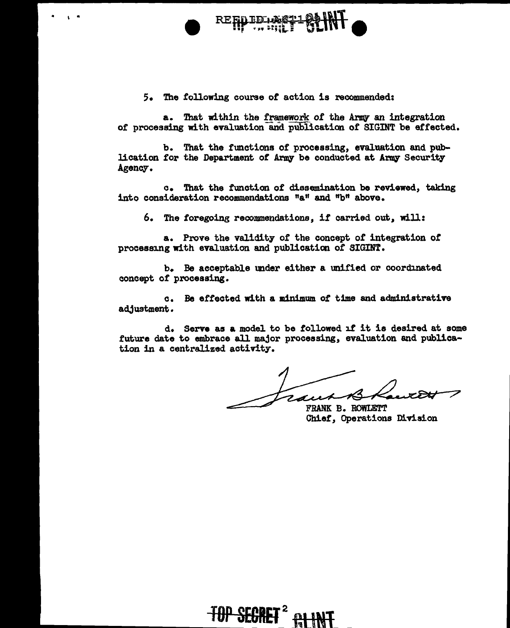

I •



5. The .toll.owing course *ot* action is recommended:

a. That within the framework of the Army an integration of processing with evaluation and publication of SIGINT be effected.

b. That the functions of processing, evaluation and publication for the Department of Army be conducted at Army Security Agency.

c. That the function of dissemination be reviewed, taking into consideration recommendations "a" and "b" above.

6. The toregoins recommendations, if carried out, will:

a. Prove the validity- of the concept of integration *ot*  processing with evaluation and publication of SIGINT.

b. Be acceptable under either a unified or coordinated concept of processing.

c. Be effected with a minimum of time and administrative adjustment.

d. Serve as a model to be followed if it is desired at some future date to embrace all major processing, evaluation and publication in a centralized activity.

FRANK B. ROWLETT

Chief, Operations Division